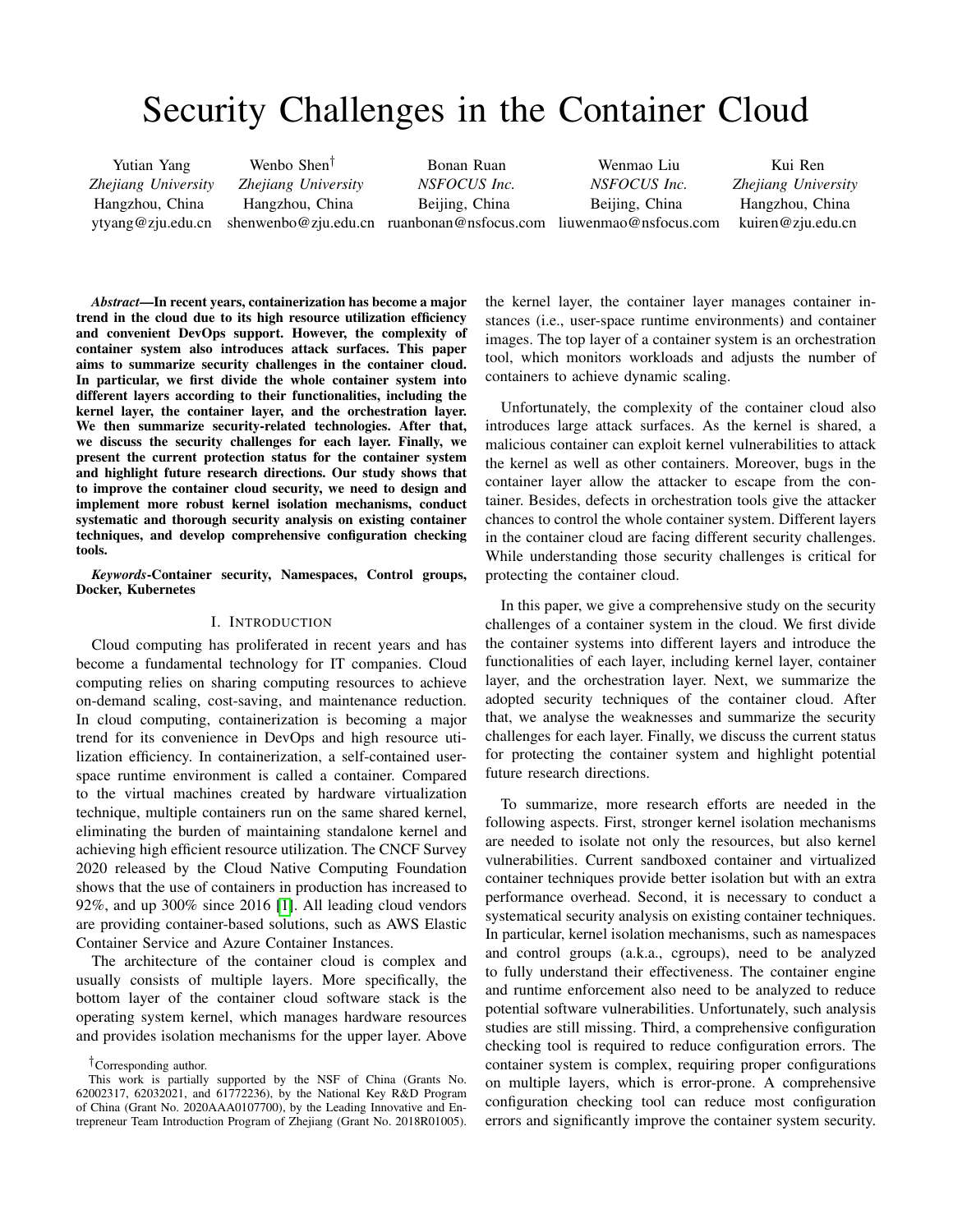# Security Challenges in the Container Cloud

Yutian Yang *Zhejiang University* Hangzhou, China ytyang@zju.edu.cn

Wenbo Shen† *Zhejiang University* Hangzhou, China shenwenbo@zju.edu.cn ruanbonan@nsfocus.com liuwenmao@nsfocus.com

Bonan Ruan *NSFOCUS Inc.* Beijing, China

Wenmao Liu *NSFOCUS Inc.* Beijing, China

Kui Ren *Zhejiang University* Hangzhou, China kuiren@zju.edu.cn

*Abstract*—In recent years, containerization has become a major trend in the cloud due to its high resource utilization efficiency and convenient DevOps support. However, the complexity of container system also introduces attack surfaces. This paper aims to summarize security challenges in the container cloud. In particular, we first divide the whole container system into different layers according to their functionalities, including the kernel layer, the container layer, and the orchestration layer. We then summarize security-related technologies. After that, we discuss the security challenges for each layer. Finally, we present the current protection status for the container system and highlight future research directions. Our study shows that to improve the container cloud security, we need to design and implement more robust kernel isolation mechanisms, conduct systematic and thorough security analysis on existing container techniques, and develop comprehensive configuration checking tools.

*Keywords*-Container security, Namespaces, Control groups, Docker, Kubernetes

# I. INTRODUCTION

Cloud computing has proliferated in recent years and has become a fundamental technology for IT companies. Cloud computing relies on sharing computing resources to achieve on-demand scaling, cost-saving, and maintenance reduction. In cloud computing, containerization is becoming a major trend for its convenience in DevOps and high resource utilization efficiency. In containerization, a self-contained userspace runtime environment is called a container. Compared to the virtual machines created by hardware virtualization technique, multiple containers run on the same shared kernel, eliminating the burden of maintaining standalone kernel and achieving high efficient resource utilization. The CNCF Survey 2020 released by the Cloud Native Computing Foundation shows that the use of containers in production has increased to 92%, and up 300% since 2016 [\[1\]](#page-7-0). All leading cloud vendors are providing container-based solutions, such as AWS Elastic Container Service and Azure Container Instances.

The architecture of the container cloud is complex and usually consists of multiple layers. More specifically, the bottom layer of the container cloud software stack is the operating system kernel, which manages hardware resources and provides isolation mechanisms for the upper layer. Above

†Corresponding author.

This work is partially supported by the NSF of China (Grants No. 62002317, 62032021, and 61772236), by the National Key R&D Program of China (Grant No. 2020AAA0107700), by the Leading Innovative and Entrepreneur Team Introduction Program of Zhejiang (Grant No. 2018R01005). the kernel layer, the container layer manages container instances (i.e., user-space runtime environments) and container images. The top layer of a container system is an orchestration tool, which monitors workloads and adjusts the number of containers to achieve dynamic scaling.

Unfortunately, the complexity of the container cloud also introduces large attack surfaces. As the kernel is shared, a malicious container can exploit kernel vulnerabilities to attack the kernel as well as other containers. Moreover, bugs in the container layer allow the attacker to escape from the container. Besides, defects in orchestration tools give the attacker chances to control the whole container system. Different layers in the container cloud are facing different security challenges. While understanding those security challenges is critical for protecting the container cloud.

In this paper, we give a comprehensive study on the security challenges of a container system in the cloud. We first divide the container systems into different layers and introduce the functionalities of each layer, including kernel layer, container layer, and the orchestration layer. Next, we summarize the adopted security techniques of the container cloud. After that, we analyse the weaknesses and summarize the security challenges for each layer. Finally, we discuss the current status for protecting the container system and highlight potential future research directions.

To summarize, more research efforts are needed in the following aspects. First, stronger kernel isolation mechanisms are needed to isolate not only the resources, but also kernel vulnerabilities. Current sandboxed container and virtualized container techniques provide better isolation but with an extra performance overhead. Second, it is necessary to conduct a systematical security analysis on existing container techniques. In particular, kernel isolation mechanisms, such as namespaces and control groups (a.k.a., cgroups), need to be analyzed to fully understand their effectiveness. The container engine and runtime enforcement also need to be analyzed to reduce potential software vulnerabilities. Unfortunately, such analysis studies are still missing. Third, a comprehensive configuration checking tool is required to reduce configuration errors. The container system is complex, requiring proper configurations on multiple layers, which is error-prone. A comprehensive configuration checking tool can reduce most configuration errors and significantly improve the container system security.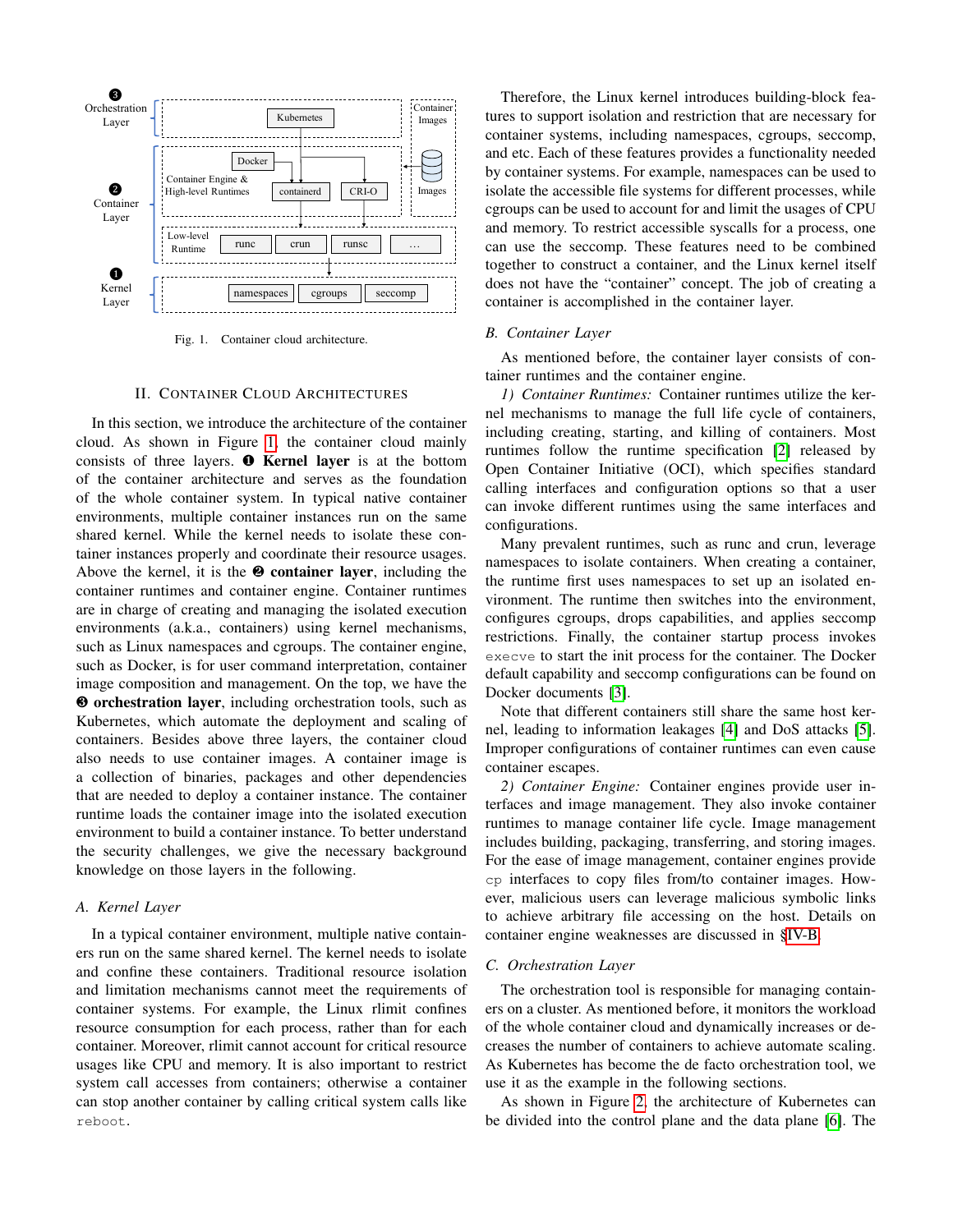

<span id="page-1-0"></span>Fig. 1. Container cloud architecture.

## II. CONTAINER CLOUD ARCHITECTURES

In this section, we introduce the architecture of the container cloud. As shown in Figure [1,](#page-1-0) the container cloud mainly consists of three layers. **O** Kernel layer is at the bottom of the container architecture and serves as the foundation of the whole container system. In typical native container environments, multiple container instances run on the same shared kernel. While the kernel needs to isolate these container instances properly and coordinate their resource usages. Above the kernel, it is the  $\Theta$  container layer, including the container runtimes and container engine. Container runtimes are in charge of creating and managing the isolated execution environments (a.k.a., containers) using kernel mechanisms, such as Linux namespaces and cgroups. The container engine, such as Docker, is for user command interpretation, container image composition and management. On the top, we have the ❸ orchestration layer, including orchestration tools, such as Kubernetes, which automate the deployment and scaling of containers. Besides above three layers, the container cloud also needs to use container images. A container image is a collection of binaries, packages and other dependencies that are needed to deploy a container instance. The container runtime loads the container image into the isolated execution environment to build a container instance. To better understand the security challenges, we give the necessary background knowledge on those layers in the following.

# *A. Kernel Layer*

In a typical container environment, multiple native containers run on the same shared kernel. The kernel needs to isolate and confine these containers. Traditional resource isolation and limitation mechanisms cannot meet the requirements of container systems. For example, the Linux rlimit confines resource consumption for each process, rather than for each container. Moreover, rlimit cannot account for critical resource usages like CPU and memory. It is also important to restrict system call accesses from containers; otherwise a container can stop another container by calling critical system calls like reboot.

Therefore, the Linux kernel introduces building-block features to support isolation and restriction that are necessary for container systems, including namespaces, cgroups, seccomp, and etc. Each of these features provides a functionality needed by container systems. For example, namespaces can be used to isolate the accessible file systems for different processes, while cgroups can be used to account for and limit the usages of CPU and memory. To restrict accessible syscalls for a process, one can use the seccomp. These features need to be combined together to construct a container, and the Linux kernel itself does not have the "container" concept. The job of creating a container is accomplished in the container layer.

#### *B. Container Layer*

As mentioned before, the container layer consists of container runtimes and the container engine.

*1) Container Runtimes:* Container runtimes utilize the kernel mechanisms to manage the full life cycle of containers, including creating, starting, and killing of containers. Most runtimes follow the runtime specification [\[2\]](#page-7-1) released by Open Container Initiative (OCI), which specifies standard calling interfaces and configuration options so that a user can invoke different runtimes using the same interfaces and configurations.

Many prevalent runtimes, such as runc and crun, leverage namespaces to isolate containers. When creating a container, the runtime first uses namespaces to set up an isolated environment. The runtime then switches into the environment, configures cgroups, drops capabilities, and applies seccomp restrictions. Finally, the container startup process invokes execve to start the init process for the container. The Docker default capability and seccomp configurations can be found on Docker documents [\[3\]](#page-8-0).

Note that different containers still share the same host kernel, leading to information leakages [\[4\]](#page-8-1) and DoS attacks [\[5\]](#page-8-2). Improper configurations of container runtimes can even cause container escapes.

*2) Container Engine:* Container engines provide user interfaces and image management. They also invoke container runtimes to manage container life cycle. Image management includes building, packaging, transferring, and storing images. For the ease of image management, container engines provide cp interfaces to copy files from/to container images. However, malicious users can leverage malicious symbolic links to achieve arbitrary file accessing on the host. Details on container engine weaknesses are discussed in [§IV-B.](#page-4-0)

### *C. Orchestration Layer*

The orchestration tool is responsible for managing containers on a cluster. As mentioned before, it monitors the workload of the whole container cloud and dynamically increases or decreases the number of containers to achieve automate scaling. As Kubernetes has become the de facto orchestration tool, we use it as the example in the following sections.

As shown in Figure [2,](#page-2-0) the architecture of Kubernetes can be divided into the control plane and the data plane [\[6\]](#page-8-3). The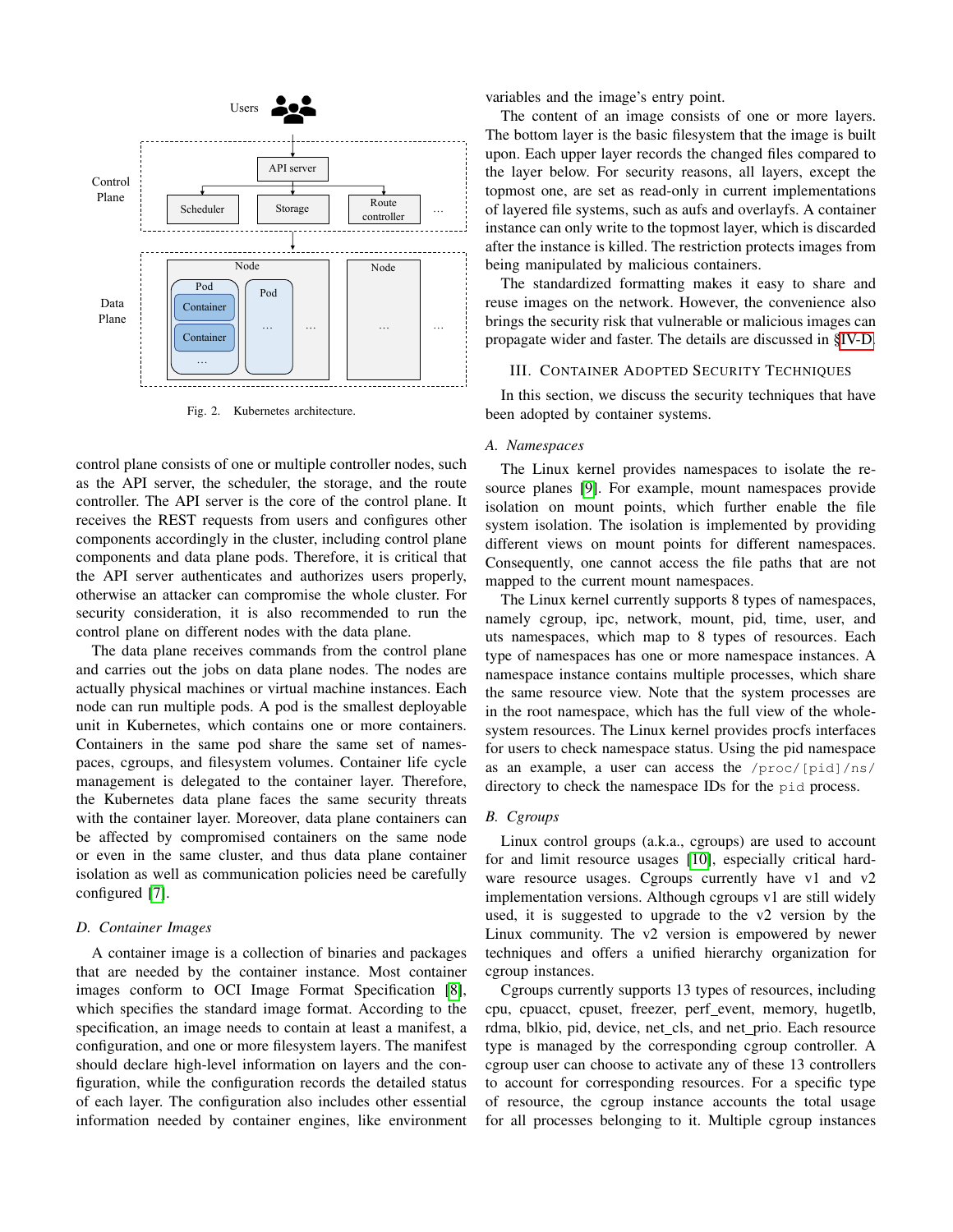

<span id="page-2-0"></span>Fig. 2. Kubernetes architecture.

control plane consists of one or multiple controller nodes, such as the API server, the scheduler, the storage, and the route controller. The API server is the core of the control plane. It receives the REST requests from users and configures other components accordingly in the cluster, including control plane components and data plane pods. Therefore, it is critical that the API server authenticates and authorizes users properly, otherwise an attacker can compromise the whole cluster. For security consideration, it is also recommended to run the control plane on different nodes with the data plane.

The data plane receives commands from the control plane and carries out the jobs on data plane nodes. The nodes are actually physical machines or virtual machine instances. Each node can run multiple pods. A pod is the smallest deployable unit in Kubernetes, which contains one or more containers. Containers in the same pod share the same set of namespaces, cgroups, and filesystem volumes. Container life cycle management is delegated to the container layer. Therefore, the Kubernetes data plane faces the same security threats with the container layer. Moreover, data plane containers can be affected by compromised containers on the same node or even in the same cluster, and thus data plane container isolation as well as communication policies need be carefully configured [\[7\]](#page-8-4).

#### *D. Container Images*

A container image is a collection of binaries and packages that are needed by the container instance. Most container images conform to OCI Image Format Specification [\[8\]](#page-8-5), which specifies the standard image format. According to the specification, an image needs to contain at least a manifest, a configuration, and one or more filesystem layers. The manifest should declare high-level information on layers and the configuration, while the configuration records the detailed status of each layer. The configuration also includes other essential information needed by container engines, like environment variables and the image's entry point.

The content of an image consists of one or more layers. The bottom layer is the basic filesystem that the image is built upon. Each upper layer records the changed files compared to the layer below. For security reasons, all layers, except the topmost one, are set as read-only in current implementations of layered file systems, such as aufs and overlayfs. A container instance can only write to the topmost layer, which is discarded after the instance is killed. The restriction protects images from being manipulated by malicious containers.

The standardized formatting makes it easy to share and reuse images on the network. However, the convenience also brings the security risk that vulnerable or malicious images can propagate wider and faster. The details are discussed in [§IV-D.](#page-5-0)

#### III. CONTAINER ADOPTED SECURITY TECHNIQUES

In this section, we discuss the security techniques that have been adopted by container systems.

## *A. Namespaces*

The Linux kernel provides namespaces to isolate the resource planes [\[9\]](#page-8-6). For example, mount namespaces provide isolation on mount points, which further enable the file system isolation. The isolation is implemented by providing different views on mount points for different namespaces. Consequently, one cannot access the file paths that are not mapped to the current mount namespaces.

The Linux kernel currently supports 8 types of namespaces, namely cgroup, ipc, network, mount, pid, time, user, and uts namespaces, which map to 8 types of resources. Each type of namespaces has one or more namespace instances. A namespace instance contains multiple processes, which share the same resource view. Note that the system processes are in the root namespace, which has the full view of the wholesystem resources. The Linux kernel provides procfs interfaces for users to check namespace status. Using the pid namespace as an example, a user can access the /proc/[pid]/ns/ directory to check the namespace IDs for the pid process.

## *B. Cgroups*

Linux control groups (a.k.a., cgroups) are used to account for and limit resource usages [\[10\]](#page-8-7), especially critical hardware resource usages. Cgroups currently have v1 and v2 implementation versions. Although cgroups v1 are still widely used, it is suggested to upgrade to the v2 version by the Linux community. The v2 version is empowered by newer techniques and offers a unified hierarchy organization for cgroup instances.

Cgroups currently supports 13 types of resources, including cpu, cpuacct, cpuset, freezer, perf\_event, memory, hugetlb, rdma, blkio, pid, device, net\_cls, and net\_prio. Each resource type is managed by the corresponding cgroup controller. A cgroup user can choose to activate any of these 13 controllers to account for corresponding resources. For a specific type of resource, the cgroup instance accounts the total usage for all processes belonging to it. Multiple cgroup instances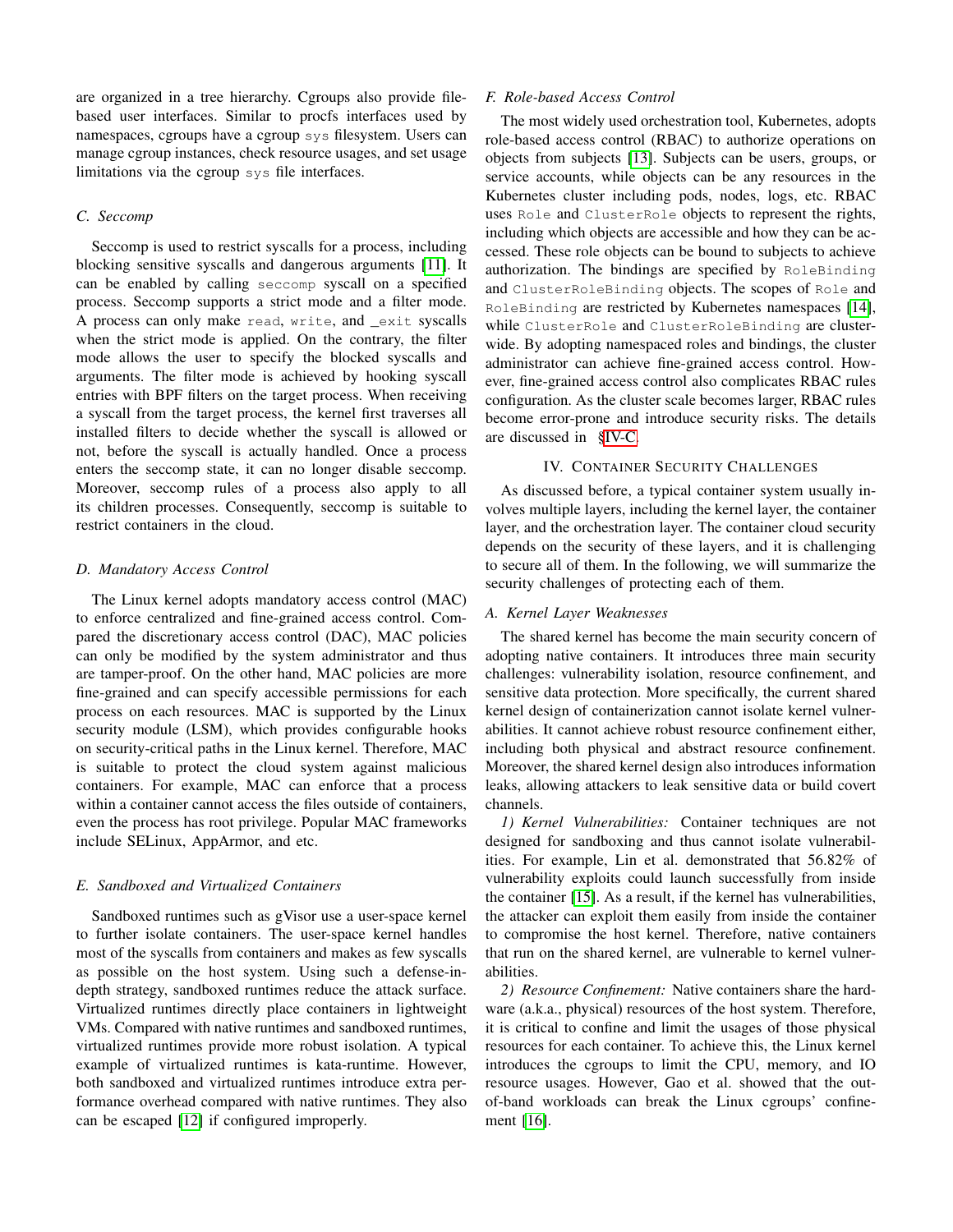are organized in a tree hierarchy. Cgroups also provide filebased user interfaces. Similar to procfs interfaces used by namespaces, cgroups have a cgroup sys filesystem. Users can manage cgroup instances, check resource usages, and set usage limitations via the cgroup sys file interfaces.

#### *C. Seccomp*

Seccomp is used to restrict syscalls for a process, including blocking sensitive syscalls and dangerous arguments [\[11\]](#page-8-8). It can be enabled by calling seccomp syscall on a specified process. Seccomp supports a strict mode and a filter mode. A process can only make read, write, and \_exit syscalls when the strict mode is applied. On the contrary, the filter mode allows the user to specify the blocked syscalls and arguments. The filter mode is achieved by hooking syscall entries with BPF filters on the target process. When receiving a syscall from the target process, the kernel first traverses all installed filters to decide whether the syscall is allowed or not, before the syscall is actually handled. Once a process enters the seccomp state, it can no longer disable seccomp. Moreover, seccomp rules of a process also apply to all its children processes. Consequently, seccomp is suitable to restrict containers in the cloud.

#### *D. Mandatory Access Control*

The Linux kernel adopts mandatory access control (MAC) to enforce centralized and fine-grained access control. Compared the discretionary access control (DAC), MAC policies can only be modified by the system administrator and thus are tamper-proof. On the other hand, MAC policies are more fine-grained and can specify accessible permissions for each process on each resources. MAC is supported by the Linux security module (LSM), which provides configurable hooks on security-critical paths in the Linux kernel. Therefore, MAC is suitable to protect the cloud system against malicious containers. For example, MAC can enforce that a process within a container cannot access the files outside of containers, even the process has root privilege. Popular MAC frameworks include SELinux, AppArmor, and etc.

#### *E. Sandboxed and Virtualized Containers*

Sandboxed runtimes such as gVisor use a user-space kernel to further isolate containers. The user-space kernel handles most of the syscalls from containers and makes as few syscalls as possible on the host system. Using such a defense-indepth strategy, sandboxed runtimes reduce the attack surface. Virtualized runtimes directly place containers in lightweight VMs. Compared with native runtimes and sandboxed runtimes, virtualized runtimes provide more robust isolation. A typical example of virtualized runtimes is kata-runtime. However, both sandboxed and virtualized runtimes introduce extra performance overhead compared with native runtimes. They also can be escaped [\[12\]](#page-8-9) if configured improperly.

#### *F. Role-based Access Control*

The most widely used orchestration tool, Kubernetes, adopts role-based access control (RBAC) to authorize operations on objects from subjects [\[13\]](#page-8-10). Subjects can be users, groups, or service accounts, while objects can be any resources in the Kubernetes cluster including pods, nodes, logs, etc. RBAC uses Role and ClusterRole objects to represent the rights, including which objects are accessible and how they can be accessed. These role objects can be bound to subjects to achieve authorization. The bindings are specified by RoleBinding and ClusterRoleBinding objects. The scopes of Role and RoleBinding are restricted by Kubernetes namespaces [\[14\]](#page-8-11), while ClusterRole and ClusterRoleBinding are clusterwide. By adopting namespaced roles and bindings, the cluster administrator can achieve fine-grained access control. However, fine-grained access control also complicates RBAC rules configuration. As the cluster scale becomes larger, RBAC rules become error-prone and introduce security risks. The details are discussed in [§IV-C.](#page-5-1)

#### IV. CONTAINER SECURITY CHALLENGES

As discussed before, a typical container system usually involves multiple layers, including the kernel layer, the container layer, and the orchestration layer. The container cloud security depends on the security of these layers, and it is challenging to secure all of them. In the following, we will summarize the security challenges of protecting each of them.

# *A. Kernel Layer Weaknesses*

The shared kernel has become the main security concern of adopting native containers. It introduces three main security challenges: vulnerability isolation, resource confinement, and sensitive data protection. More specifically, the current shared kernel design of containerization cannot isolate kernel vulnerabilities. It cannot achieve robust resource confinement either, including both physical and abstract resource confinement. Moreover, the shared kernel design also introduces information leaks, allowing attackers to leak sensitive data or build covert channels.

*1) Kernel Vulnerabilities:* Container techniques are not designed for sandboxing and thus cannot isolate vulnerabilities. For example, Lin et al. demonstrated that 56.82% of vulnerability exploits could launch successfully from inside the container [\[15\]](#page-8-12). As a result, if the kernel has vulnerabilities, the attacker can exploit them easily from inside the container to compromise the host kernel. Therefore, native containers that run on the shared kernel, are vulnerable to kernel vulnerabilities.

*2) Resource Confinement:* Native containers share the hardware (a.k.a., physical) resources of the host system. Therefore, it is critical to confine and limit the usages of those physical resources for each container. To achieve this, the Linux kernel introduces the cgroups to limit the CPU, memory, and IO resource usages. However, Gao et al. showed that the outof-band workloads can break the Linux cgroups' confinement [\[16\]](#page-8-13).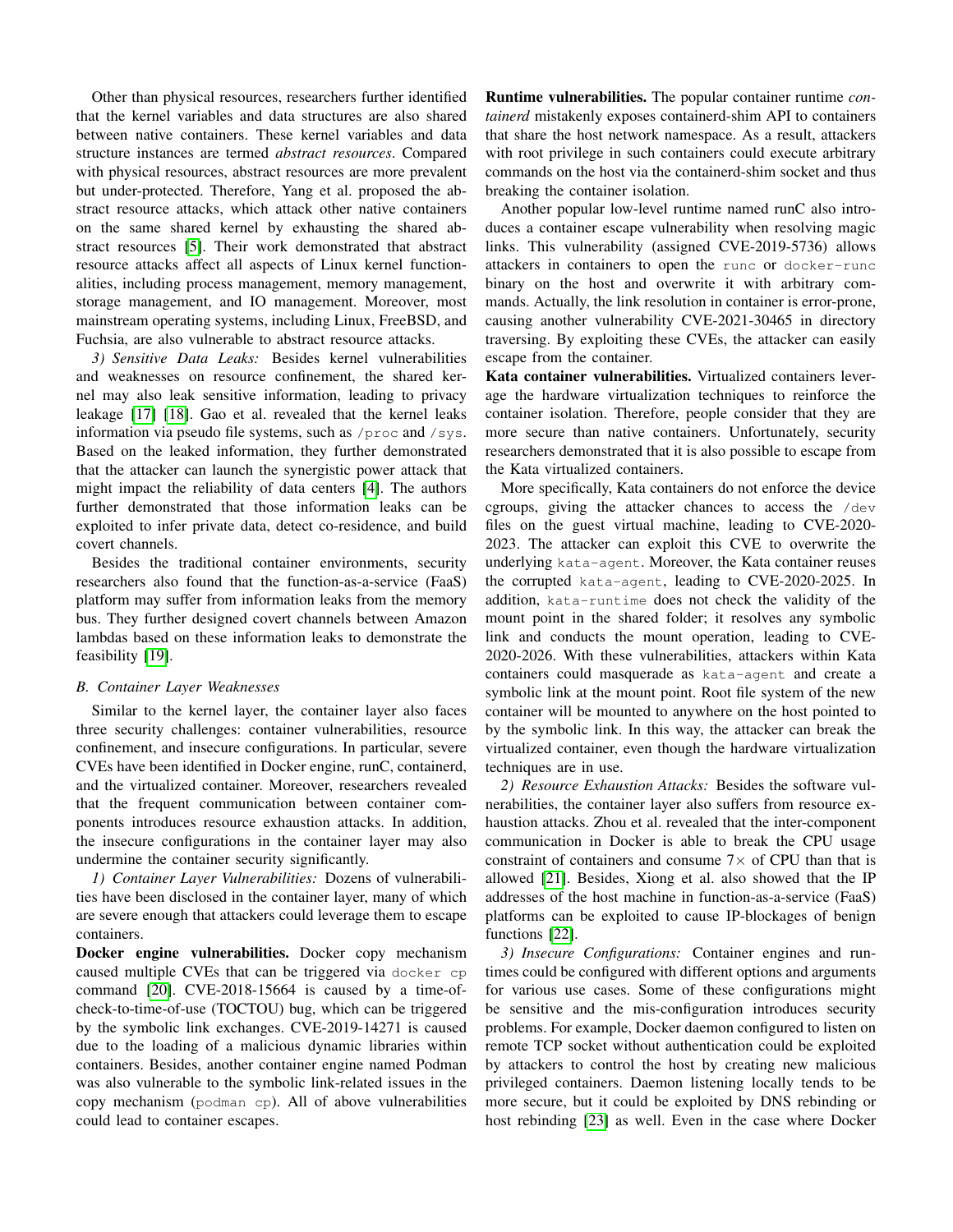Other than physical resources, researchers further identified that the kernel variables and data structures are also shared between native containers. These kernel variables and data structure instances are termed *abstract resources*. Compared with physical resources, abstract resources are more prevalent but under-protected. Therefore, Yang et al. proposed the abstract resource attacks, which attack other native containers on the same shared kernel by exhausting the shared abstract resources [\[5\]](#page-8-2). Their work demonstrated that abstract resource attacks affect all aspects of Linux kernel functionalities, including process management, memory management, storage management, and IO management. Moreover, most mainstream operating systems, including Linux, FreeBSD, and Fuchsia, are also vulnerable to abstract resource attacks.

*3) Sensitive Data Leaks:* Besides kernel vulnerabilities and weaknesses on resource confinement, the shared kernel may also leak sensitive information, leading to privacy leakage [\[17\]](#page-8-14) [\[18\]](#page-8-15). Gao et al. revealed that the kernel leaks information via pseudo file systems, such as /proc and /sys. Based on the leaked information, they further demonstrated that the attacker can launch the synergistic power attack that might impact the reliability of data centers [\[4\]](#page-8-1). The authors further demonstrated that those information leaks can be exploited to infer private data, detect co-residence, and build covert channels.

Besides the traditional container environments, security researchers also found that the function-as-a-service (FaaS) platform may suffer from information leaks from the memory bus. They further designed covert channels between Amazon lambdas based on these information leaks to demonstrate the feasibility [\[19\]](#page-8-16).

## <span id="page-4-0"></span>*B. Container Layer Weaknesses*

Similar to the kernel layer, the container layer also faces three security challenges: container vulnerabilities, resource confinement, and insecure configurations. In particular, severe CVEs have been identified in Docker engine, runC, containerd, and the virtualized container. Moreover, researchers revealed that the frequent communication between container components introduces resource exhaustion attacks. In addition, the insecure configurations in the container layer may also undermine the container security significantly.

<span id="page-4-1"></span>*1) Container Layer Vulnerabilities:* Dozens of vulnerabilities have been disclosed in the container layer, many of which are severe enough that attackers could leverage them to escape containers.

Docker engine vulnerabilities. Docker copy mechanism caused multiple CVEs that can be triggered via docker cp command [\[20\]](#page-8-17). CVE-2018-15664 is caused by a time-ofcheck-to-time-of-use (TOCTOU) bug, which can be triggered by the symbolic link exchanges. CVE-2019-14271 is caused due to the loading of a malicious dynamic libraries within containers. Besides, another container engine named Podman was also vulnerable to the symbolic link-related issues in the copy mechanism (podman cp). All of above vulnerabilities could lead to container escapes.

Runtime vulnerabilities. The popular container runtime *containerd* mistakenly exposes containerd-shim API to containers that share the host network namespace. As a result, attackers with root privilege in such containers could execute arbitrary commands on the host via the containerd-shim socket and thus breaking the container isolation.

Another popular low-level runtime named runC also introduces a container escape vulnerability when resolving magic links. This vulnerability (assigned CVE-2019-5736) allows attackers in containers to open the runc or docker-runc binary on the host and overwrite it with arbitrary commands. Actually, the link resolution in container is error-prone, causing another vulnerability CVE-2021-30465 in directory traversing. By exploiting these CVEs, the attacker can easily escape from the container.

Kata container vulnerabilities. Virtualized containers leverage the hardware virtualization techniques to reinforce the container isolation. Therefore, people consider that they are more secure than native containers. Unfortunately, security researchers demonstrated that it is also possible to escape from the Kata virtualized containers.

More specifically, Kata containers do not enforce the device cgroups, giving the attacker chances to access the /dev files on the guest virtual machine, leading to CVE-2020- 2023. The attacker can exploit this CVE to overwrite the underlying kata-agent. Moreover, the Kata container reuses the corrupted kata-agent, leading to CVE-2020-2025. In addition, kata-runtime does not check the validity of the mount point in the shared folder; it resolves any symbolic link and conducts the mount operation, leading to CVE-2020-2026. With these vulnerabilities, attackers within Kata containers could masquerade as kata-agent and create a symbolic link at the mount point. Root file system of the new container will be mounted to anywhere on the host pointed to by the symbolic link. In this way, the attacker can break the virtualized container, even though the hardware virtualization techniques are in use.

*2) Resource Exhaustion Attacks:* Besides the software vulnerabilities, the container layer also suffers from resource exhaustion attacks. Zhou et al. revealed that the inter-component communication in Docker is able to break the CPU usage constraint of containers and consume  $7\times$  of CPU than that is allowed [\[21\]](#page-8-18). Besides, Xiong et al. also showed that the IP addresses of the host machine in function-as-a-service (FaaS) platforms can be exploited to cause IP-blockages of benign functions [\[22\]](#page-8-19).

*3) Insecure Configurations:* Container engines and runtimes could be configured with different options and arguments for various use cases. Some of these configurations might be sensitive and the mis-configuration introduces security problems. For example, Docker daemon configured to listen on remote TCP socket without authentication could be exploited by attackers to control the host by creating new malicious privileged containers. Daemon listening locally tends to be more secure, but it could be exploited by DNS rebinding or host rebinding [\[23\]](#page-8-20) as well. Even in the case where Docker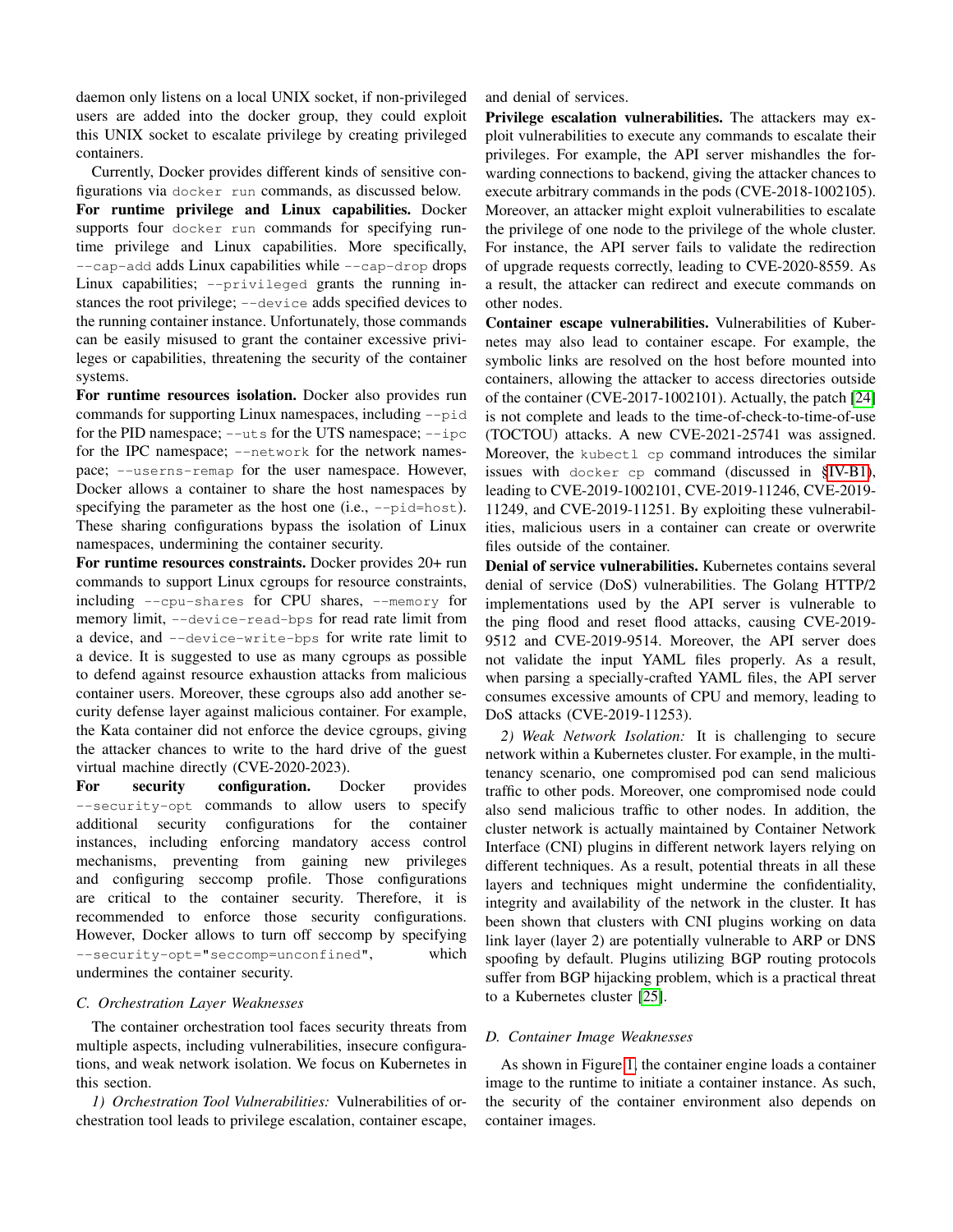daemon only listens on a local UNIX socket, if non-privileged users are added into the docker group, they could exploit this UNIX socket to escalate privilege by creating privileged containers.

Currently, Docker provides different kinds of sensitive configurations via docker run commands, as discussed below. For runtime privilege and Linux capabilities. Docker supports four docker run commands for specifying runtime privilege and Linux capabilities. More specifically, --cap-add adds Linux capabilities while --cap-drop drops Linux capabilities; --privileged grants the running instances the root privilege; --device adds specified devices to the running container instance. Unfortunately, those commands can be easily misused to grant the container excessive privileges or capabilities, threatening the security of the container systems.

For runtime resources isolation. Docker also provides run commands for supporting Linux namespaces, including --pid for the PID namespace; --uts for the UTS namespace; --ipc for the IPC namespace; --network for the network namespace; --userns-remap for the user namespace. However, Docker allows a container to share the host namespaces by specifying the parameter as the host one (i.e.,  $-\text{pid} = \text{host}$ ). These sharing configurations bypass the isolation of Linux namespaces, undermining the container security.

For runtime resources constraints. Docker provides 20+ run commands to support Linux cgroups for resource constraints, including --cpu-shares for CPU shares, --memory for memory limit,  $-\text{device-read-bps}$  for read rate limit from a device, and --device-write-bps for write rate limit to a device. It is suggested to use as many cgroups as possible to defend against resource exhaustion attacks from malicious container users. Moreover, these cgroups also add another security defense layer against malicious container. For example, the Kata container did not enforce the device cgroups, giving the attacker chances to write to the hard drive of the guest virtual machine directly (CVE-2020-2023).

For security configuration. Docker provides --security-opt commands to allow users to specify additional security configurations for the container instances, including enforcing mandatory access control mechanisms, preventing from gaining new privileges and configuring seccomp profile. Those configurations are critical to the container security. Therefore, it is recommended to enforce those security configurations. However, Docker allows to turn off seccomp by specifying --security-opt="seccomp=unconfined", which undermines the container security.

# <span id="page-5-1"></span>*C. Orchestration Layer Weaknesses*

The container orchestration tool faces security threats from multiple aspects, including vulnerabilities, insecure configurations, and weak network isolation. We focus on Kubernetes in this section.

*1) Orchestration Tool Vulnerabilities:* Vulnerabilities of orchestration tool leads to privilege escalation, container escape, and denial of services.

Privilege escalation vulnerabilities. The attackers may exploit vulnerabilities to execute any commands to escalate their privileges. For example, the API server mishandles the forwarding connections to backend, giving the attacker chances to execute arbitrary commands in the pods (CVE-2018-1002105). Moreover, an attacker might exploit vulnerabilities to escalate the privilege of one node to the privilege of the whole cluster. For instance, the API server fails to validate the redirection of upgrade requests correctly, leading to CVE-2020-8559. As a result, the attacker can redirect and execute commands on other nodes.

Container escape vulnerabilities. Vulnerabilities of Kubernetes may also lead to container escape. For example, the symbolic links are resolved on the host before mounted into containers, allowing the attacker to access directories outside of the container (CVE-2017-1002101). Actually, the patch [\[24\]](#page-8-21) is not complete and leads to the time-of-check-to-time-of-use (TOCTOU) attacks. A new CVE-2021-25741 was assigned. Moreover, the kubectl cp command introduces the similar issues with docker cp command (discussed in [§IV-B1\)](#page-4-1), leading to CVE-2019-1002101, CVE-2019-11246, CVE-2019- 11249, and CVE-2019-11251. By exploiting these vulnerabilities, malicious users in a container can create or overwrite files outside of the container.

Denial of service vulnerabilities. Kubernetes contains several denial of service (DoS) vulnerabilities. The Golang HTTP/2 implementations used by the API server is vulnerable to the ping flood and reset flood attacks, causing CVE-2019- 9512 and CVE-2019-9514. Moreover, the API server does not validate the input YAML files properly. As a result, when parsing a specially-crafted YAML files, the API server consumes excessive amounts of CPU and memory, leading to DoS attacks (CVE-2019-11253).

*2) Weak Network Isolation:* It is challenging to secure network within a Kubernetes cluster. For example, in the multitenancy scenario, one compromised pod can send malicious traffic to other pods. Moreover, one compromised node could also send malicious traffic to other nodes. In addition, the cluster network is actually maintained by Container Network Interface (CNI) plugins in different network layers relying on different techniques. As a result, potential threats in all these layers and techniques might undermine the confidentiality, integrity and availability of the network in the cluster. It has been shown that clusters with CNI plugins working on data link layer (layer 2) are potentially vulnerable to ARP or DNS spoofing by default. Plugins utilizing BGP routing protocols suffer from BGP hijacking problem, which is a practical threat to a Kubernetes cluster [\[25\]](#page-8-22).

# <span id="page-5-0"></span>*D. Container Image Weaknesses*

As shown in Figure [1,](#page-1-0) the container engine loads a container image to the runtime to initiate a container instance. As such, the security of the container environment also depends on container images.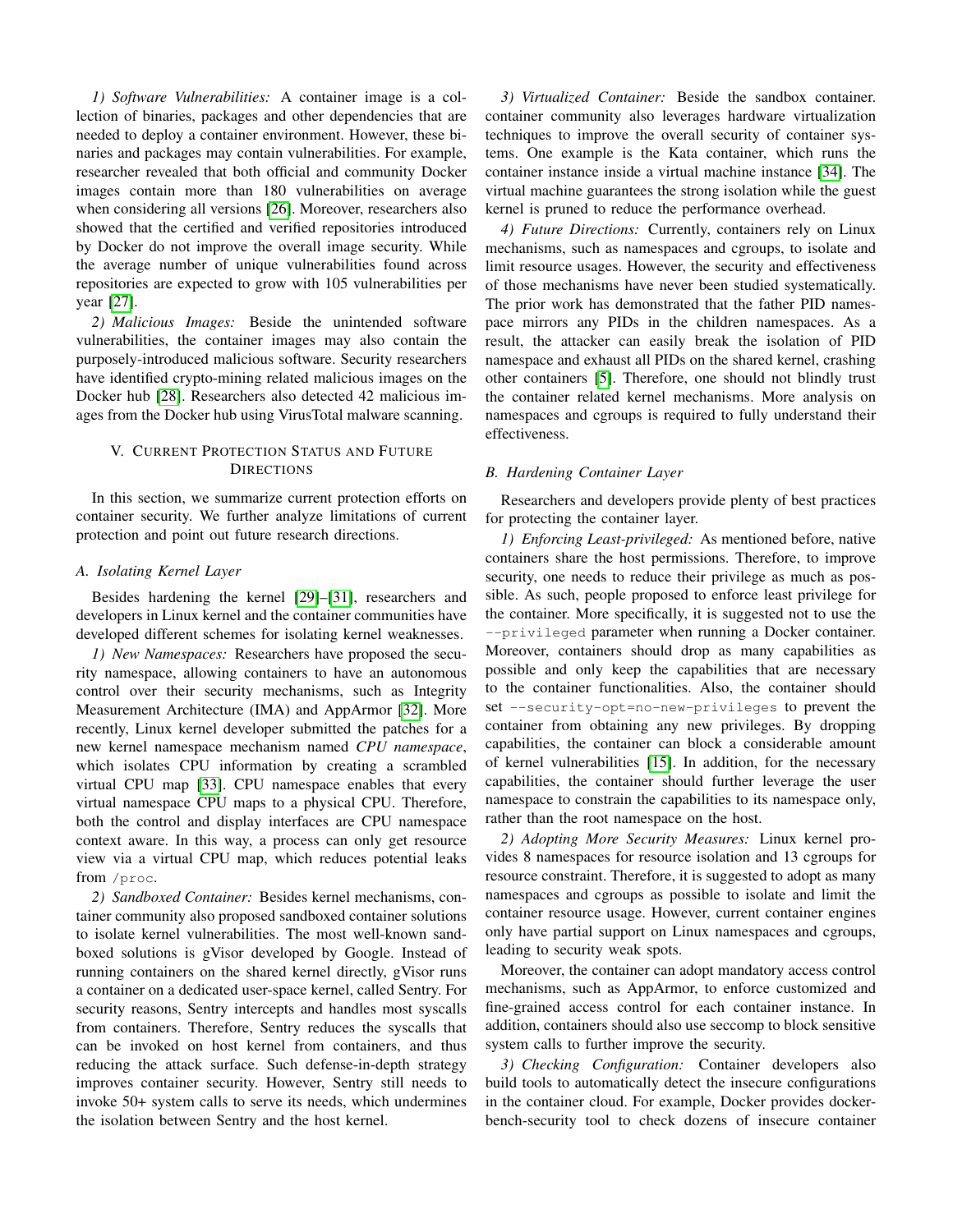*1) Software Vulnerabilities:* A container image is a collection of binaries, packages and other dependencies that are needed to deploy a container environment. However, these binaries and packages may contain vulnerabilities. For example, researcher revealed that both official and community Docker images contain more than 180 vulnerabilities on average when considering all versions [\[26\]](#page-8-23). Moreover, researchers also showed that the certified and verified repositories introduced by Docker do not improve the overall image security. While the average number of unique vulnerabilities found across repositories are expected to grow with 105 vulnerabilities per year [\[27\]](#page-8-24).

*2) Malicious Images:* Beside the unintended software vulnerabilities, the container images may also contain the purposely-introduced malicious software. Security researchers have identified crypto-mining related malicious images on the Docker hub [\[28\]](#page-8-25). Researchers also detected 42 malicious images from the Docker hub using VirusTotal malware scanning.

# V. CURRENT PROTECTION STATUS AND FUTURE **DIRECTIONS**

In this section, we summarize current protection efforts on container security. We further analyze limitations of current protection and point out future research directions.

## *A. Isolating Kernel Layer*

Besides hardening the kernel [\[29\]](#page-8-26)–[\[31\]](#page-8-27), researchers and developers in Linux kernel and the container communities have developed different schemes for isolating kernel weaknesses.

*1) New Namespaces:* Researchers have proposed the security namespace, allowing containers to have an autonomous control over their security mechanisms, such as Integrity Measurement Architecture (IMA) and AppArmor [\[32\]](#page-8-28). More recently, Linux kernel developer submitted the patches for a new kernel namespace mechanism named *CPU namespace*, which isolates CPU information by creating a scrambled virtual CPU map [\[33\]](#page-8-29). CPU namespace enables that every virtual namespace CPU maps to a physical CPU. Therefore, both the control and display interfaces are CPU namespace context aware. In this way, a process can only get resource view via a virtual CPU map, which reduces potential leaks from /proc.

*2) Sandboxed Container:* Besides kernel mechanisms, container community also proposed sandboxed container solutions to isolate kernel vulnerabilities. The most well-known sandboxed solutions is gVisor developed by Google. Instead of running containers on the shared kernel directly, gVisor runs a container on a dedicated user-space kernel, called Sentry. For security reasons, Sentry intercepts and handles most syscalls from containers. Therefore, Sentry reduces the syscalls that can be invoked on host kernel from containers, and thus reducing the attack surface. Such defense-in-depth strategy improves container security. However, Sentry still needs to invoke 50+ system calls to serve its needs, which undermines the isolation between Sentry and the host kernel.

*3) Virtualized Container:* Beside the sandbox container. container community also leverages hardware virtualization techniques to improve the overall security of container systems. One example is the Kata container, which runs the container instance inside a virtual machine instance [\[34\]](#page-8-30). The virtual machine guarantees the strong isolation while the guest kernel is pruned to reduce the performance overhead.

*4) Future Directions:* Currently, containers rely on Linux mechanisms, such as namespaces and cgroups, to isolate and limit resource usages. However, the security and effectiveness of those mechanisms have never been studied systematically. The prior work has demonstrated that the father PID namespace mirrors any PIDs in the children namespaces. As a result, the attacker can easily break the isolation of PID namespace and exhaust all PIDs on the shared kernel, crashing other containers [\[5\]](#page-8-2). Therefore, one should not blindly trust the container related kernel mechanisms. More analysis on namespaces and cgroups is required to fully understand their effectiveness.

# *B. Hardening Container Layer*

Researchers and developers provide plenty of best practices for protecting the container layer.

*1) Enforcing Least-privileged:* As mentioned before, native containers share the host permissions. Therefore, to improve security, one needs to reduce their privilege as much as possible. As such, people proposed to enforce least privilege for the container. More specifically, it is suggested not to use the --privileged parameter when running a Docker container. Moreover, containers should drop as many capabilities as possible and only keep the capabilities that are necessary to the container functionalities. Also, the container should set --security-opt=no-new-privileges to prevent the container from obtaining any new privileges. By dropping capabilities, the container can block a considerable amount of kernel vulnerabilities [\[15\]](#page-8-12). In addition, for the necessary capabilities, the container should further leverage the user namespace to constrain the capabilities to its namespace only, rather than the root namespace on the host.

*2) Adopting More Security Measures:* Linux kernel provides 8 namespaces for resource isolation and 13 cgroups for resource constraint. Therefore, it is suggested to adopt as many namespaces and cgroups as possible to isolate and limit the container resource usage. However, current container engines only have partial support on Linux namespaces and cgroups, leading to security weak spots.

Moreover, the container can adopt mandatory access control mechanisms, such as AppArmor, to enforce customized and fine-grained access control for each container instance. In addition, containers should also use seccomp to block sensitive system calls to further improve the security.

*3) Checking Configuration:* Container developers also build tools to automatically detect the insecure configurations in the container cloud. For example, Docker provides dockerbench-security tool to check dozens of insecure container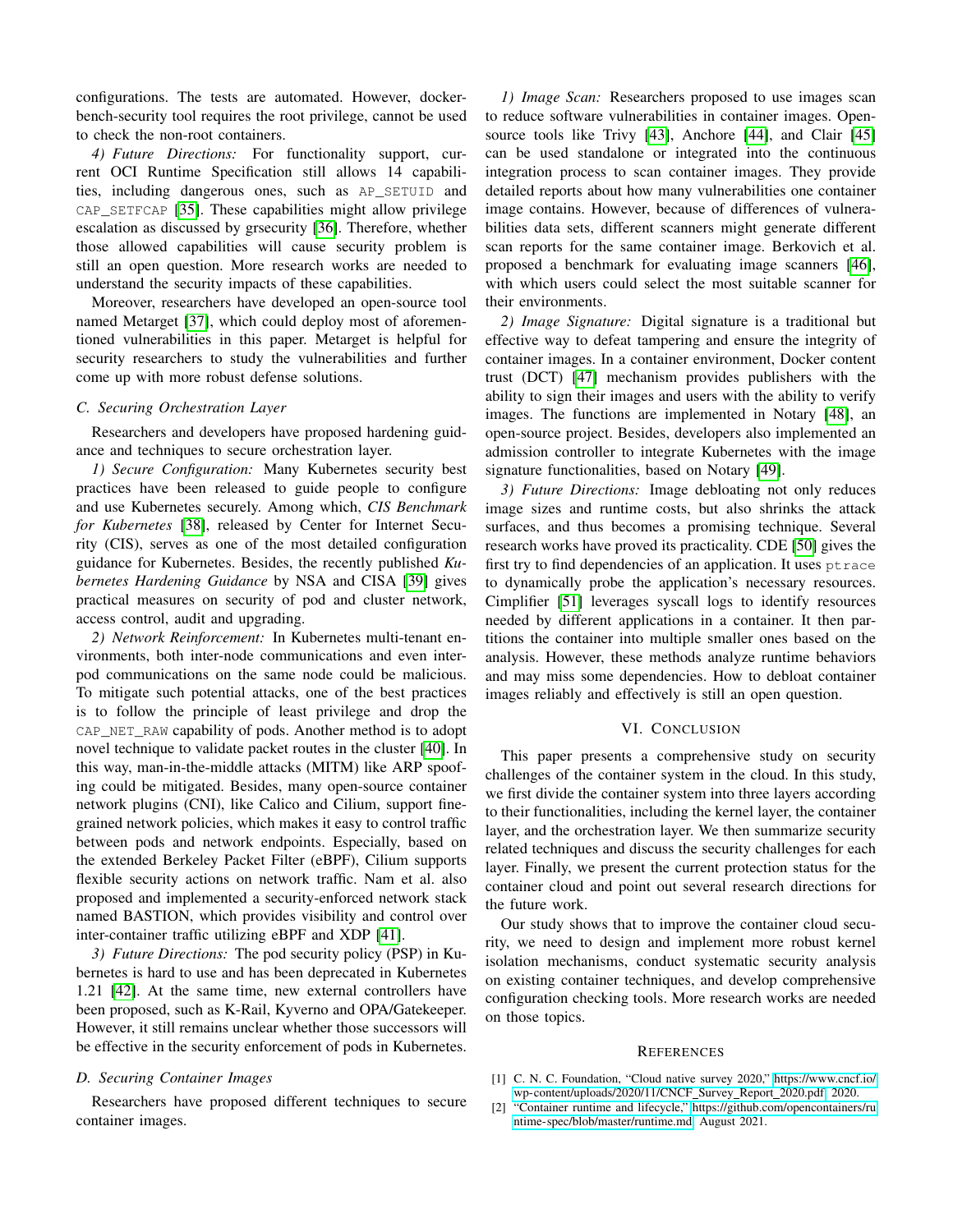configurations. The tests are automated. However, dockerbench-security tool requires the root privilege, cannot be used to check the non-root containers.

*4) Future Directions:* For functionality support, current OCI Runtime Specification still allows 14 capabilities, including dangerous ones, such as AP\_SETUID and CAP\_SETFCAP [\[35\]](#page-8-31). These capabilities might allow privilege escalation as discussed by grsecurity [\[36\]](#page-8-32). Therefore, whether those allowed capabilities will cause security problem is still an open question. More research works are needed to understand the security impacts of these capabilities.

Moreover, researchers have developed an open-source tool named Metarget [\[37\]](#page-8-33), which could deploy most of aforementioned vulnerabilities in this paper. Metarget is helpful for security researchers to study the vulnerabilities and further come up with more robust defense solutions.

# *C. Securing Orchestration Layer*

Researchers and developers have proposed hardening guidance and techniques to secure orchestration layer.

*1) Secure Configuration:* Many Kubernetes security best practices have been released to guide people to configure and use Kubernetes securely. Among which, *CIS Benchmark for Kubernetes* [\[38\]](#page-8-34), released by Center for Internet Security (CIS), serves as one of the most detailed configuration guidance for Kubernetes. Besides, the recently published *Kubernetes Hardening Guidance* by NSA and CISA [\[39\]](#page-8-35) gives practical measures on security of pod and cluster network, access control, audit and upgrading.

*2) Network Reinforcement:* In Kubernetes multi-tenant environments, both inter-node communications and even interpod communications on the same node could be malicious. To mitigate such potential attacks, one of the best practices is to follow the principle of least privilege and drop the CAP NET RAW capability of pods. Another method is to adopt novel technique to validate packet routes in the cluster [\[40\]](#page-8-36). In this way, man-in-the-middle attacks (MITM) like ARP spoofing could be mitigated. Besides, many open-source container network plugins (CNI), like Calico and Cilium, support finegrained network policies, which makes it easy to control traffic between pods and network endpoints. Especially, based on the extended Berkeley Packet Filter (eBPF), Cilium supports flexible security actions on network traffic. Nam et al. also proposed and implemented a security-enforced network stack named BASTION, which provides visibility and control over inter-container traffic utilizing eBPF and XDP [\[41\]](#page-8-37).

*3) Future Directions:* The pod security policy (PSP) in Kubernetes is hard to use and has been deprecated in Kubernetes 1.21 [\[42\]](#page-8-38). At the same time, new external controllers have been proposed, such as K-Rail, Kyverno and OPA/Gatekeeper. However, it still remains unclear whether those successors will be effective in the security enforcement of pods in Kubernetes.

#### *D. Securing Container Images*

Researchers have proposed different techniques to secure container images.

*1) Image Scan:* Researchers proposed to use images scan to reduce software vulnerabilities in container images. Open-source tools like Trivy [\[43\]](#page-8-39), Anchore [\[44\]](#page-8-40), and Clair [\[45\]](#page-8-41) can be used standalone or integrated into the continuous integration process to scan container images. They provide detailed reports about how many vulnerabilities one container image contains. However, because of differences of vulnerabilities data sets, different scanners might generate different scan reports for the same container image. Berkovich et al. proposed a benchmark for evaluating image scanners [\[46\]](#page-8-42), with which users could select the most suitable scanner for their environments.

*2) Image Signature:* Digital signature is a traditional but effective way to defeat tampering and ensure the integrity of container images. In a container environment, Docker content trust (DCT) [\[47\]](#page-8-43) mechanism provides publishers with the ability to sign their images and users with the ability to verify images. The functions are implemented in Notary [\[48\]](#page-8-44), an open-source project. Besides, developers also implemented an admission controller to integrate Kubernetes with the image signature functionalities, based on Notary [\[49\]](#page-8-45).

*3) Future Directions:* Image debloating not only reduces image sizes and runtime costs, but also shrinks the attack surfaces, and thus becomes a promising technique. Several research works have proved its practicality. CDE [\[50\]](#page-8-46) gives the first try to find dependencies of an application. It uses ptrace to dynamically probe the application's necessary resources. Cimplifier [\[51\]](#page-8-47) leverages syscall logs to identify resources needed by different applications in a container. It then partitions the container into multiple smaller ones based on the analysis. However, these methods analyze runtime behaviors and may miss some dependencies. How to debloat container images reliably and effectively is still an open question.

# VI. CONCLUSION

This paper presents a comprehensive study on security challenges of the container system in the cloud. In this study, we first divide the container system into three layers according to their functionalities, including the kernel layer, the container layer, and the orchestration layer. We then summarize security related techniques and discuss the security challenges for each layer. Finally, we present the current protection status for the container cloud and point out several research directions for the future work.

Our study shows that to improve the container cloud security, we need to design and implement more robust kernel isolation mechanisms, conduct systematic security analysis on existing container techniques, and develop comprehensive configuration checking tools. More research works are needed on those topics.

#### **REFERENCES**

- <span id="page-7-0"></span>[1] C. N. C. Foundation, "Cloud native survey 2020," [https://www.cncf.io/](https://www.cncf.io/wp-content/uploads/2020/11/CNCF_Survey_Report_2020.pdf) [wp-content/uploads/2020/11/CNCF](https://www.cncf.io/wp-content/uploads/2020/11/CNCF_Survey_Report_2020.pdf) Survey Report 2020.pdf, 2020.
- <span id="page-7-1"></span>[2] "Container runtime and lifecycle," [https://github.com/opencontainers/ru](https://github.com/opencontainers/runtime-spec/blob/master/runtime.md) [ntime-spec/blob/master/runtime.md,](https://github.com/opencontainers/runtime-spec/blob/master/runtime.md) August 2021.